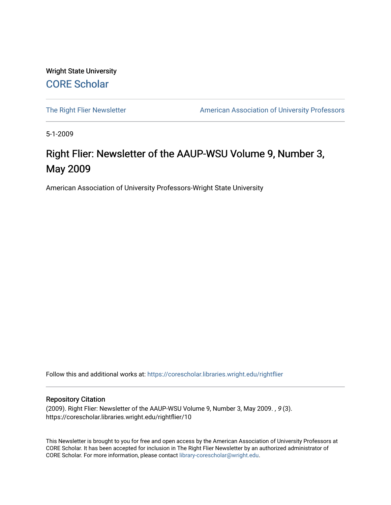Wright State University [CORE Scholar](https://corescholar.libraries.wright.edu/)

[The Right Flier Newsletter](https://corescholar.libraries.wright.edu/rightflier) **American Association of University Professors** 

5-1-2009

# Right Flier: Newsletter of the AAUP-WSU Volume 9, Number 3, May 2009

American Association of University Professors-Wright State University

Follow this and additional works at: [https://corescholar.libraries.wright.edu/rightflier](https://corescholar.libraries.wright.edu/rightflier?utm_source=corescholar.libraries.wright.edu%2Frightflier%2F10&utm_medium=PDF&utm_campaign=PDFCoverPages) 

#### Repository Citation

(2009). Right Flier: Newsletter of the AAUP-WSU Volume 9, Number 3, May 2009. , 9 (3). https://corescholar.libraries.wright.edu/rightflier/10

This Newsletter is brought to you for free and open access by the American Association of University Professors at CORE Scholar. It has been accepted for inclusion in The Right Flier Newsletter by an authorized administrator of CORE Scholar. For more information, please contact [library-corescholar@wright.edu](mailto:library-corescholar@wright.edu).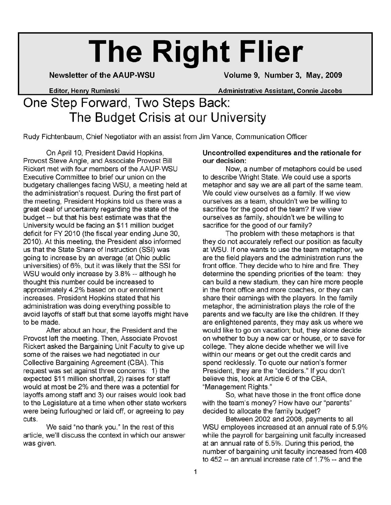# **The Right Flier**

Newsletter of the AAUP-WSU Volume 9, Number 3, May, 2009

Editor Henry Ruminski Administrative Assistant, Connie Jacobs

# One Step Forward, Two Steps Back: The Budget Crisis at our University

Rudy Fichtenbaum, Chief Negotiator with an assist from Jim Vance, Communication Officer

On April 10, President David Hopkins, Provost Steve Angle, and Associate Provost Bill Rickert met with four members of the AAUP-WSU Executive Committee to brief our union on the budgetary challenges facing WSU, a meeting held at the administration's request. During the first part of the meeting, President Hopkins told us there was a great deal of uncertainty regarding the state of the budget -- but that his best estimate was that the University would be facing an \$11 million budget deficit for FY 2010 (the fiscal year ending June 30, 2010). At this meeting, the President also informed us that the State Share of Instruction (SSI) was going to increase by an average (at Ohio public universities) of 6%, but it was likely that the SSI for WSU would only increase by 3.8% -- although he thought this number could be increased to approximately 4.2% based on our enrollment increases. President Hopkins stated that his administration was doing everything possible to avoid layoffs of staff but that some layoffs might have to be made.

After about an hour, the President and the Provost left the meeting. Then, Associate Provost Rickert asked the Bargaining Unit Faculty to give up some of the raises we had negotiated in our Collective Bargaining Agreement (CBA). This request was set against three concerns: 1) the expected \$11 million shortfall, 2) raises for staff would at most be 2% and there was a potential for layoffs among staff and 3) our raises would look bad to the Legislature at a time when other state workers were being furloughed or laid off, or agreeing to pay cuts.

We said "no thank you." In the rest of this article, we'll discuss the context in which our answer was given.

#### Uncontrolled expenditures and the rationale for our decision:

Now, a number of metaphors could be used to describe Wright State. We could use a sports metaphor and say we are all part of the same team. We could view ourselves as a family. If we view ourselves as a team, shouldn't we be willing to sacrifice for the good of the team? If we view ourselves as family, shouldn't we be willing to sacrifice for the good of our family?

The problem with these metaphors is that they do not accurately reflect our position as faculty at WSU. If one wants to use the team metaphor, we are the field players and the administration runs the front office. They decide who to hire and fire. They determine the spending priorities of the team: they can build a new stadium, they can hire more people in the front office and more coaches, or they can share their earnings with the players. In the family metaphor, the administration plays the role of the parents and we faculty are like the children. If they are enlightened parents, they may ask us where we would like to go on vacation; but, they alone decide on whether to buy a new car or house, or to save for college. They alone decide whether we will live within our means or get out the credit cards and spend recklessly. To quote our nation's former President, they are the "deciders." If you don't believe this, look at Article 6 of the CBA, "Management Rights."

So, what have those in the front office done with the team's money? How have our "parents" decided to allocate the family budget?

Between 2002 and 2008, payments to all WSU employees increased at an annual rate of 5.9% while the payroll for bargaining unit faculty increased at an annual rate of 5.5%. During this period, the number of bargaining unit faculty increased from 408 to 452 -- an annual increase rate of 1.7% -- and the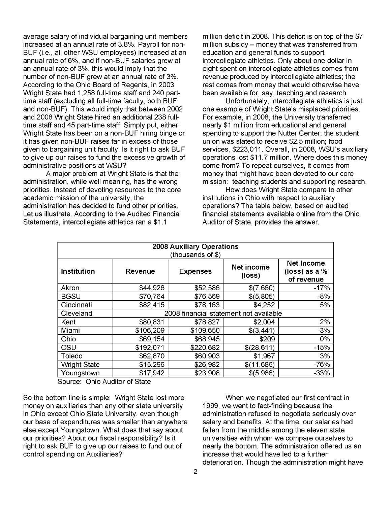average salary of individual bargaining unit members increased at an annual rate of 3.8%. Payroll for non-BUF (i.e., all other WSU employees) increased at an annual rate of 6%, and if non-BUF salaries grew at an annual rate of 3%, this would imply that the number of non-BUF grew at an annual rate of 3%. According to the Ohio Board of Regents, in 2003 Wright State had 1,258 full-time staff and 240 parttime staff (excluding all full-time faculty, both BUF and non-BUF). This would imply that between 2002 and 2008 Wright State hired an additional 238 fulltime staff and 45 part-time staff. Simply put, either Wright State has been on a non-BUF hiring binge or it has given non-BUF raises far in excess of those given to bargaining unit faculty. Is it right to ask BUF to give up our raises to fund the excessive growth of administrative positions at WSU?

A major problem at Wright State is that the administration, while well meaning, has the wrong priorities. Instead of devoting resources to the core academic mission of the university, the administration has decided to fund other priorities. Let us illustrate. According to the Audited Financial Statements, intercollegiate athletics ran a \$1.1

million deficit in 2008. This deficit is on top of the \$7 million subsidy  $-$  money that was transferred from education and general funds to support intercollegiate athletics. Only about one dollar in eight spent on intercollegiate athletics comes from revenue produced by intercollegiate athletics; the rest comes from money that would otherwise have been available for, say, teaching and research.

Unfortunately, intercollegiate athletics is just one example of Wright State's misplaced priorities. For example, in 2008, the University transferred nearly \$1 million from educational and general spending to support the Nutter Center; the student union was slated to receive \$2.5 million; food services, \$223,011. Overall, in 2008, WSU's auxiliary operations lost \$11.7 million. Where does this money come from? To repeat ourselves, it comes from money that might have been devoted to our core mission: teaching students and supporting research.

How does Wright State compare to other institutions in Ohio with respect to auxiliary operations? The table below, based on audited financial statements available online from the Ohio Auditor of State, provides the answer.

| <b>2008 Auxiliary Operations</b><br>(thousands of \$) |                                        |                 |                      |                                                    |  |  |  |  |  |
|-------------------------------------------------------|----------------------------------------|-----------------|----------------------|----------------------------------------------------|--|--|--|--|--|
| Institution                                           | <b>Revenue</b>                         | <b>Expenses</b> | Net income<br>(loss) | <b>Net Income</b><br>(loss) as a $%$<br>of revenue |  |  |  |  |  |
| Akron                                                 | \$44,926                               | \$52,586        | \$(7,660)            | $-17%$                                             |  |  |  |  |  |
| <b>BGSU</b>                                           | \$70,764                               | \$76,569        | \$(5,805)            | -8%                                                |  |  |  |  |  |
| Cincinnati                                            | \$82,415                               | \$78,163        | \$4,252              | 5%                                                 |  |  |  |  |  |
| Cleveland                                             | 2008 financial statement not available |                 |                      |                                                    |  |  |  |  |  |
| Kent                                                  | \$80,831                               | \$78,827        | \$2,004              | 2%                                                 |  |  |  |  |  |
| Miami                                                 | \$106,209                              | \$109,650       | \$(3,441)            | $-3%$                                              |  |  |  |  |  |
| Ohio                                                  | \$69,154                               | \$68,945        | \$209                | 0%                                                 |  |  |  |  |  |
| OSU                                                   | \$192,071                              | \$220,682       | \$(28, 611)          | $-15%$                                             |  |  |  |  |  |
| Toledo                                                | \$62,870                               | \$60,903        | \$1,967              | 3%                                                 |  |  |  |  |  |
| <b>Wright State</b>                                   | \$15,296                               | \$26,982        | \$(11,686)           | $-76%$                                             |  |  |  |  |  |
| Youngstown                                            | \$17,942                               | \$23,908        | \$(5,966)            | $-33%$                                             |  |  |  |  |  |

Source: Ohio Auditor of State

So the bottom line is simple: Wright State lost more money on auxiliaries than any other state university in Ohio except Ohio State University, even though our base of expenditures was smaller than anywhere else except Youngstown. What does that say about our priorities? About our fiscal responsibility? Is it right to ask BUF to give up our raises to fund out of control spending on Auxiliaries?

When we negotiated our first contract in 1999, we went to fact-finding because the administration refused to negotiate seriously over salary and benefits. At the time, our salaries had fallen from the middle among the eleven state universities with whom we compare ourselves to nearly the bottom. The administration offered us an increase that would have led to a further deterioration. Though the administration might have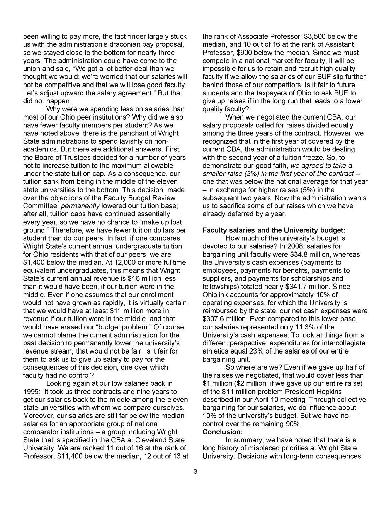been willing to pay more, the fact-finder largely stuck us with the administration's draconian pay proposal, so we stayed close to the bottom for nearly three years. The administration could have come to the union and said, "We got a lot better deal than we thought we would; we're worried that our salaries will not be competitive and that we will lose good faculty. Let's adjust upward the salary agreement." But that did not happen.

Why were we spending less on salaries than most of our Ohio peer institutions? Why did we also have fewer faculty members per student? As we have noted above, there is the penchant of Wright State administrations to spend lavishly on nonacademics. But there are additional answers. First, the Board of Trustees decided for a number of years not to increase tuition to the maximum allowable under the state tuition cap. As a consequence, our tuition sank from being in the middle of the eleven state universities to the bottom. This decision, made over the objections of the Faculty Budget Review Committee, permanently lowered our tuition base; after all, tuition caps have continued essentially every year, so we have no chance to "make up lost ground." Therefore, we have fewer tuition dollars per student than do our peers. In fact, if one compares Wright State's current annual undergraduate tuition for Ohio residents with that of our peers, we are \$1,400 below the median. At 12,000 or more fulltime equivalent undergraduates, this means that Wright State's current annual revenue is \$16 million less than it would have been, if our tuition were in the middle. Even if one assumes that our enrollment would not have grown as rapidly, it is virtually certain that we would have at least \$11 million more in revenue if our tuition were in the middle, and that would have erased our "budget problem." Of course, we cannot blame the current administration for the past decision to permanently lower the university's revenue stream; that would not be fair. Is it fair for them to ask us to give up salary to pay for the consequences of this decision, one over which faculty had no control?

Looking again at our low salaries back in 1999: it took us three contracts and nine years to get our salaries back to the middle among the eleven state universities with whom we compare ourselves. Moreover, our salaries are still far below the median salaries for an appropriate group of national  $comparator$  institutions  $-$  a group including Wright State that is specified in the CBA at Cleveland State University. We are ranked 11 out of 16 at the rank of Professor, \$11,400 below the median, 12 out of 16 at the rank of Associate Professor, \$3,500 below the median, and 10 out of 16 at the rank of Assistant Professor, \$900 below the median. Since we must compete in a national market for faculty, it will be impossible for us to retain and recruit high quality faculty if we allow the salaries of our BUF slip further behind those of our competitors. Is it fair to future students and the taxpayers of Ohio to ask BUF to give up raises if in the long run that leads to a lower quality faculty?

When we negotiated the current CBA, our salary proposals called for raises divided equally among the three years of the contract. However, we recognized that in the first year of covered by the current CBA, the administration would be dealing with the second year of a tuition freeze. So, to demonstrate our good faith, we agreed to take a smaller raise (3%) in the first year of the contract  $$ one that was below the national average for that year  $-$  in exchange for higher raises (5%) in the subsequent two years. Now the administration wants us to sacrifice some of our raises which we have already deferred by a year.

#### Faculty salaries and the University budget:

How much of the university's budget is devoted to our salaries? In 2008, salaries for bargaining unit faculty were \$34.8 million, whereas the University's cash expenses (payments to employees, payments for benefits, payments to suppliers, and payments for scholarships and fellowships) totaled nearly \$341.7 million. Since Ohiolink accounts for approximately 10% of operating expenses, for which the University is reimbursed by the state, our net cash expenses were \$307.6 million. Even compared to this lower base, our salaries represented only 11.3% of the University's cash expenses. To look at things from a different perspective, expenditures for intercollegiate athletics equal 23% of the salaries of our entire bargaining unit.

So where are we? Even if we gave up half of the raises we negotiated, that would cover less than \$1 million (\$2 million, if we gave up our entire raise) of the \$11 million problem President Hopkins described in our April 10 meeting. Through collective bargaining for our salaries, we do influence about 10% of the university's budget. But we have no control over the remaining 90%. Conclusion:

#### In summary, we have noted that there is a long history of misplaced priorities at Wright State University. Decisions with long-term consequences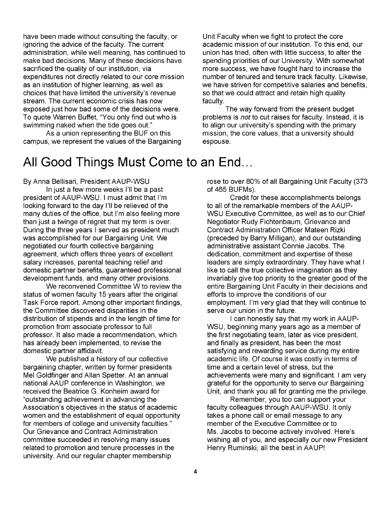have been made without consulting the faculty, or ignoring the advice of the faculty. The current administration, while well meaning, has continued to make bad decisions. Many of these decisions have sacrificed the quality of our institution, via expenditures not directly related to our core mission as an institution of higher learning, as well as choices that have limited the university's revenue stream. The current economic crisis has now exposed just how bad some of the decisions were. To quote Warren Buffet, "You only find out who is swimming naked when the tide goes out."

As a union representing the BUF on this campus, we represent the values of the Bargaining

# All Good Things Must Come to an End...

By Anna Bellisari, President AAUP-WSU

In just a few more weeks I'll be a past president of AAUP-WSU. I must admit that I'm looking forward to the day I'll be relieved of the many duties of the office, but I'm also feeling more than just a twinge of regret that my term is over. During the three years I served as president much was accomplished for our Bargaining Unit. We negotiated our fourth collective bargaining agreement, which offers three years of excellent salary increases, parental teaching relief and domestic partner benefits, guaranteed professional development funds, and many other provisions.

We reconvened Committee W to review the status of women faculty 15 years after the original Task Force report. Among other important findings, the Committee discovered disparities in the distribution of stipends and in the length of time for promotion from associate professor to full professor. It also made a recommendation, which has already been implemented, to revise the domestic partner affidavit.

We published a history of our collective bargaining chapter, written by former presidents Mel Goldfinger and Allan Spetter. At an annual national AAUP conference in Washington, we received the Beatrice G. Konheim award for "outstanding achievement in advancing the Association's objectives in the status of academic women and the establishment of equal opportunity for members of college and university faculties." Our Grievance and Contract Administration committee succeeded in resolving many issues related to promotion and tenure processes in the university. And our regular chapter membership

Unit Faculty when we fight to protect the core academic mission of our institution. To this end, our union has tried, often with little success, to alter the spending priorities of our University. With somewhat more success, we have fought hard to increase the number of tenured and tenure track faculty. Likewise, we have striven for competitive salaries and benefits, so that we could attract and retain high quality faculty.

The way forward from the present budget problems is not to cut raises for faculty. Instead, it is to align our university's spending with the primary mission, the core values, that a university should espouse.

rose to over 80% of all Bargaining Unit Faculty (373 of 465 BUFMs).

Credit for these accomplishments belongs to all of the remarkable members of the AAUP-WSU Executive Committee, as well as to our Chief Negotiator Rudy Fichtenbaum, Grievance and Contract Administration Officer Mateen Rizki (preceded by Barry Milligan), and our outstanding administrative assistant Connie Jacobs. The dedication, commitment and expertise of these leaders are simply extraordinary. They have what I like to call the true collective imagination as they invariably give top priority to the greater good of the entire Bargaining Unit Faculty in their decisions and efforts to improve the conditions of our employment. I'm very glad that they will continue to serve our union in the future.

I can honestly say that my work in AAUP-WSU, beginning many years ago as a member of the first negotiating team, later as vice president, and finally as president, has been the most satisfying and rewarding service during my entire academic life. Of course it was costly in terms of time and a certain level of stress, but the achievements were many and significant. I am very grateful for the opportunity to serve our Bargaining Unit, and thank you all for granting me the privilege.

Remember, you too can support your faculty colleagues through AAUP-WSU. It only takes a phone call or email message to any member of the Executive Committee or to Ms. Jacobs to become actively involved. Here's wishing all of you, and especially our new President Henry Ruminski, all the best in AAUPI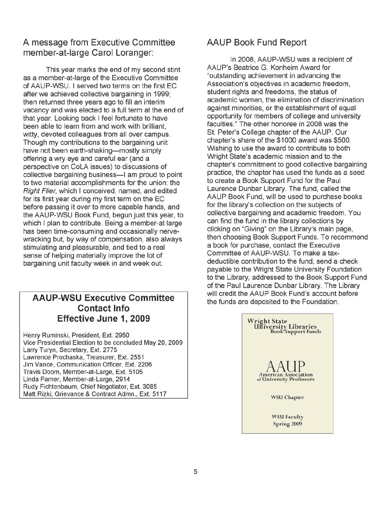## **A message from Executive Committee member-at-Iarge Carol Loranger:**

This year marks the end of my second stint as a member-at-Iarge of the Executive Committee of AAUP-WSU. I served two terms on the first EC after we achieved collective bargaining in 1999; then returned three years ago to fill an interim vacancy and was elected to a full term at the end of that year. Looking back I feel fortunate to have been able to learn from and work with brilliant, witty, devoted colleagues from all over campus. Though my contributions to the bargaining unit have not been earth-shaking-mostly simply offering a wry eye and careful ear (and a perspective on CoLA issues) to discussions of collective bargaining business-I am proud to point to two material accomplishments for the union: the Right Flier, which I conceived, named, and edited for its first year during my first term on the EC before passing it over to more capable hands, and the AAUP-WSU Book Fund, begun just this year, to which I plan to contribute. Being a member-at large has been time-consuming and occasionally nervewracking but, by way of compensation, also always stimulating and pleasurable, and tied to a real sense of helping materially improve the lot of bargaining unit faculty week in and week out.

## **AAUP-WSU Executive Committee Contact Info Effective June 1, 2009**

Henry Ruminski, President, Ext. 2950 Vice Presidential Election to be concluded May 20, 2009 Larry Turyn, Secretary, Ext. 2775 Lawrence Prochaska, Treasurer, Ext. 2551 Jim Vance, Communication Officer, Ext. 2206 Travis Doom, Member-at-Large, Ext. 5105 Linda Farner, Member-at-Large, 2914 Rudy Fichtenbaum, Chief Negotiator, Ext. 3085 Matt Rizki, Grievance & Contract Admn., Ext. 5117

## **AAUP Book Fund Report**

In 2008, AAUP-WSU was a recipient of AAUP's Beatrice G. Konheim Award for "outstanding achievement in advancing the Association's objectives in academic freedom, student rights and freedoms, the status of academic women, the elimination of discrimination against minorities, or the establishment of equal opportunity for members of college and university faculties." The other honoree in 2008 was the St. Peter's College chapter of the AAUP. Our chapter's share of the \$1000 award was \$500. Wishing to use the award to contribute to both Wright State's academic mission and to the chapter's commitment to good collective bargaining practice, the chapter has used the funds as a seed to create a Book Support Fund for the Paul Laurence Dunbar Library. The fund, called the AAUP Book Fund, will be used to purchase books for the library's collection on the subjects of collective bargaining and academic freedom. You can find the fund in the library collections by clicking on "Giving" on the Library's main page, then choosing Book Support Funds. To recommend a book for purchase, contact the Executive Committee of AAUP-WSU. To make a taxdeductible contribution to the fund, send a check payable to the Wright State University Foundation to the Library, addressed to the Book Support Fund of the Paul Laurence Dunbar Library. The Library will credit the AAUP Book Fund's account before the funds are deposited to the Foundation.

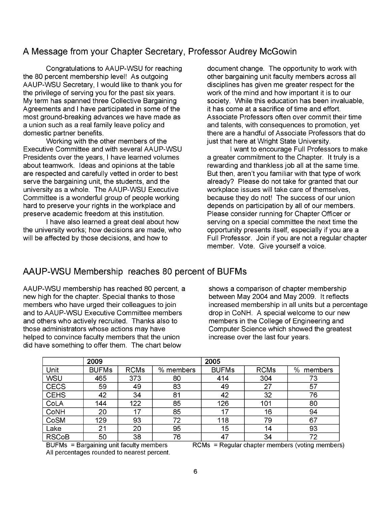### A Message from your Chapter Secretary, Professor Audrey McGowin

Congratulations to AAUP-WSU for reaching the 80 percent membership level! As outgoing AAUP-WSU Secretary, I would like to thank you for the privilege of serving you for the past six years. My term has spanned three Collective Bargaining Agreements and I have participated in some of the most ground-breaking advances we have made as a union such as a real family leave policy and domestic partner benefits.

Working with the other members of the Executive Committee and with several AAUP-WSU Presidents over the years, I have learned volumes about teamwork. Ideas and opinions at the table are respected and carefully vetted in order to best serve the bargaining unit, the students, and the university as a whole. The AAUP-WSU Executive Committee is a wonderful group of people working hard to preserve your rights in the workplace and preserve academic freedom at this institution.

I have also learned a great deal about how the university works; how decisions are made, who will be affected by those decisions, and how to

document change. The opportunity to work with other bargaining unit faculty members across all disciplines has given me greater respect for the work of the mind and how important it is to our society. While this education has been invaluable, it has come at a sacrifice of time and effort. Associate Professors often over commit their time and talents, with consequences to promotion, yet there are a handful of Associate Professors that do just that here at Wright State University.

I want to encourage Full Professors to make a greater commitment to the Chapter. It truly is a rewarding and thankless job all at the same time. But then, aren't you familiar with that type of work already? Please do not take for granted that our workplace issues will take care of themselves, because they do not! The success of our union depends on participation by all of our members. Please consider running for Chapter Officer or serving on a special committee the next time the opportunity presents itself, especially if you are a Full Professor. Join if you are not a regular chapter member. Vote. Give yourself a voice.

## AAUP-WSU Membership reaches 80 percent of BUFMs

AAUP-WSU membership has reached 80 percent, a shows a comparison of chapter membership new high for the chapter. Special thanks to those between May 2004 and May 2009. It reflects members who have urged their colleagues to join increased membership in all units but a percentage and to AAUP-WSU Executive Committee members drop in CoNH. A special welcome to our new and others who actively recruited. Thanks also to members in the College of Engineering and those administrators whose actions may have Computer Science which showed the greatest helped to convince faculty members that the union increase over the last four years. did have something to offer them. The chart below

|              | 2009         |             |           | 2005         |             |              |
|--------------|--------------|-------------|-----------|--------------|-------------|--------------|
| Unit         | <b>BUFMs</b> | <b>RCMs</b> | % members | <b>BUFMs</b> | <b>RCMs</b> | %<br>members |
| WSU          | 465          | 373         | 80        | 414          | 304         | 73           |
| <b>CECS</b>  | 59           | 49          | 83        | 49           | 27          | 57           |
| <b>CEHS</b>  | 42           | 34          | 81        | 42           | 32          | 76           |
| CoLA         | 144          | 122         | 85        | 126          | 101         | 80           |
| CoNH         | 20           | 17          | 85        | 17           | 16          | 94           |
| CoSM         | 129          | 93          | 72        | 118          | 79          | 67           |
| Lake         | 21           | 20          | 95        | 15           | 14          | 93           |
| <b>RSCoB</b> | 50           | 38          | 76        | 47           | 34          | 72           |

All percentages rounded to nearest percent.

BUFMs = Bargaining unit faculty members RCMs = Regular chapter members (voting members)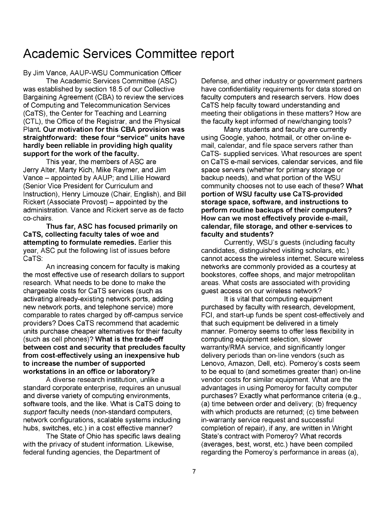# **Academic Services Committee report**

By Jim Vance, AAUP-WSU Communication Officer

The Academic Services Committee (ASC) was established by section 18.5 of our Collective Bargaining Agreement (CBA) to review the services of Computing and Telecommunication Services (CaTS), the Center for Teaching and Learning (CTL), the Office of the Registrar, and the Physical Plant. Our motivation for this CBA provision was straightforward: these four "service" units have hardly been reliable in providing high quality support for the work of the faculty.

This year, the members of ASC are Jerry Alter, Marty Kich, Mike Raymer, and Jim Vance - appointed by AAUP; and Lillie Howard (Senior Vice President for Curriculum and Instruction), Henry Limouze (Chair, English), and Bill Rickert (Associate Provost) – appointed by the administration. Vance and Rickert serve as de facto co-chairs.

Thus far, ASC has focused primarily on CaTS, collecting faculty tales of woe and attempting to formulate remedies. Earlier this year, ASC put the following list of issues before CaTS:

An increasing concern for faculty is making the most effective use of research dollars to support research. What needs to be done to make the chargeable costs for CaTS services (such as activating already-existing network ports, adding new network ports, and telephone service) more comparable to rates charged by off-campus service providers? Does CaTS recommend that academic units purchase cheaper alternatives for their faculty (such as cell phones)? What is the trade-off between cost and security that precludes faculty from cost-effectively using an inexpensive hub to increase the number of supported workstations in an office or laboratory?

A diverse research institution, unlike a standard corporate enterprise, requires an unusual and diverse variety of computing environments, software tools, and the like. What is CaTS doing to support faculty needs (non-standard computers, network configurations, scalable systems including hubs, switches, etc.) in a cost effective manner?

The State of Ohio has specific laws dealing with the privacy of student information. Likewise, federal funding agencies, the Department of

Defense, and other industry or government partners have confidentiality requirements for data stored on faculty computers and research servers. How does CaTS help faculty toward understanding and meeting their obligations in these matters? How are the faculty kept informed of new/changing tools?

Many students and faculty are currently using Google, yahoo, hotmail, or other on-line email, calendar, and file space servers rather than CaTS- supplied services. What resources are spent on CaTS e-mail services, calendar services, and file space servers (whether for primary storage or backup needs), and what portion of the WSU community chooses not to use each of these? What portion of WSU faculty use CaTS-provided storage space, software, and instructions to perform routine backups of their computers? How can we most effectively provide e-mail, calendar, file storage, and other e-services to faculty and students?

Currently, WSU's guests (including faculty candidates, distinguished visiting scholars, etc.) cannot access the wireless internet. Secure wireless networks are commonly provided as a courtesy at bookstores, coffee shops, and major metropolitan areas. What costs are associated with providing guest access on our wireless network?

It is vital that computing equipment purchased by faculty with research, development, FCI, and start-up funds be spent cost-effectively and that such equipment be delivered in a timely manner. Pomeroy seems to offer less flexibility in computing equipment selection, slower warranty/RMA service, and significantly longer delivery periods than on-line vendors (such as Lenovo, Amazon, Dell, etc). Pomeroy's costs seem to be equal to (and sometimes greater than) on-line vendor costs for similar equipment. What are the advantages in using Pomeroy for faculty computer purchases? Exactly what performance criteria (e.g., (a) time between order and delivery; (b) frequency with which products are returned; (c) time between in-warranty service request and successful completion of repair), if any, are written in Wright State's contract with Pomeroy? What records (averages, best, worst, etc.) have been compiled regarding the Pomeroy's performance in areas (a),